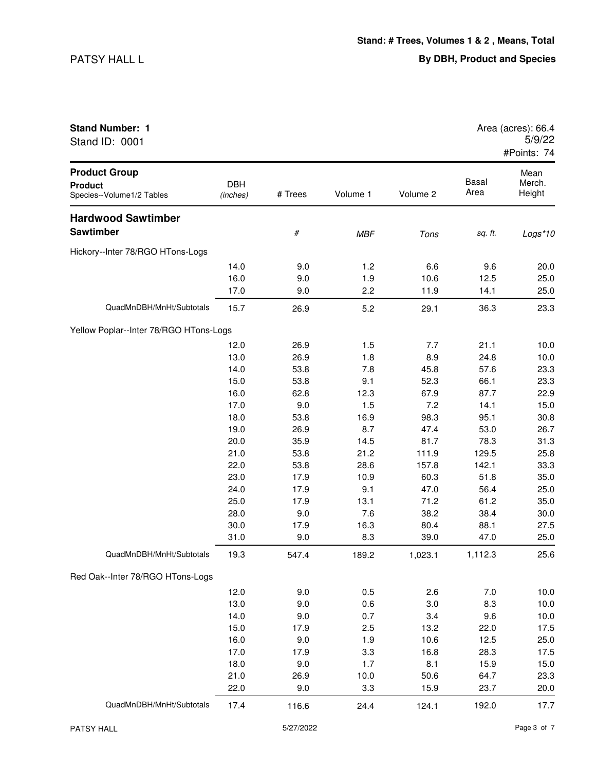Stand ID: 0001

| <b>Stand Number: 1</b> | Area (acres): 66.4 |
|------------------------|--------------------|
| Stand ID: 0001         | 5/9/22             |
|                        | #Points: 74        |

| <b>Product Group</b><br><b>Product</b> | <b>DBH</b> |         |            |          | <b>Basal</b> | Mean<br>Merch. |
|----------------------------------------|------------|---------|------------|----------|--------------|----------------|
| Species--Volume1/2 Tables              | (inches)   | # Trees | Volume 1   | Volume 2 | Area         | Height         |
| <b>Hardwood Sawtimber</b>              |            |         |            |          |              |                |
| <b>Sawtimber</b>                       |            | $\#$    | <b>MBF</b> | Tons     | sq. ft.      | Logs*10        |
| Hickory--Inter 78/RGO HTons-Logs       |            |         |            |          |              |                |
|                                        | 14.0       | 9.0     | 1.2        | 6.6      | 9.6          | 20.0           |
|                                        | 16.0       | 9.0     | 1.9        | 10.6     | 12.5         | 25.0           |
|                                        | 17.0       | 9.0     | 2.2        | 11.9     | 14.1         | 25.0           |
| QuadMnDBH/MnHt/Subtotals               | 15.7       | 26.9    | 5.2        | 29.1     | 36.3         | 23.3           |
| Yellow Poplar--Inter 78/RGO HTons-Logs |            |         |            |          |              |                |
|                                        | 12.0       | 26.9    | 1.5        | 7.7      | 21.1         | 10.0           |
|                                        | 13.0       | 26.9    | 1.8        | 8.9      | 24.8         | 10.0           |
|                                        | 14.0       | 53.8    | 7.8        | 45.8     | 57.6         | 23.3           |
|                                        | 15.0       | 53.8    | 9.1        | 52.3     | 66.1         | 23.3           |
|                                        | 16.0       | 62.8    | 12.3       | 67.9     | 87.7         | 22.9           |
|                                        | 17.0       | 9.0     | 1.5        | 7.2      | 14.1         | 15.0           |
|                                        | 18.0       | 53.8    | 16.9       | 98.3     | 95.1         | 30.8           |
|                                        | 19.0       | 26.9    | 8.7        | 47.4     | 53.0         | 26.7           |
|                                        | 20.0       | 35.9    | 14.5       | 81.7     | 78.3         | 31.3           |
|                                        | 21.0       | 53.8    | 21.2       | 111.9    | 129.5        | 25.8           |
|                                        | 22.0       | 53.8    | 28.6       | 157.8    | 142.1        | 33.3           |
|                                        | 23.0       | 17.9    | 10.9       | 60.3     | 51.8         | 35.0           |
|                                        | 24.0       | 17.9    | 9.1        | 47.0     | 56.4         | 25.0           |
|                                        | 25.0       | 17.9    | 13.1       | 71.2     | 61.2         | 35.0           |
|                                        | 28.0       | 9.0     | 7.6        | 38.2     | 38.4         | 30.0           |
|                                        | 30.0       | 17.9    | 16.3       | 80.4     | 88.1         | 27.5           |
|                                        | 31.0       | 9.0     | 8.3        | 39.0     | 47.0         | 25.0           |
| QuadMnDBH/MnHt/Subtotals               | 19.3       | 547.4   | 189.2      | 1,023.1  | 1,112.3      | 25.6           |
| Red Oak--Inter 78/RGO HTons-Logs       |            |         |            |          |              |                |
|                                        | 12.0       | 9.0     | 0.5        | 2.6      | 7.0          | 10.0           |
|                                        | 13.0       | 9.0     | 0.6        | 3.0      | 8.3          | 10.0           |
|                                        | 14.0       | 9.0     | 0.7        | 3.4      | 9.6          | 10.0           |
|                                        | 15.0       | 17.9    | 2.5        | 13.2     | 22.0         | 17.5           |
|                                        | 16.0       | 9.0     | 1.9        | 10.6     | 12.5         | 25.0           |
|                                        | 17.0       | 17.9    | 3.3        | 16.8     | 28.3         | 17.5           |
|                                        | 18.0       | 9.0     | 1.7        | 8.1      | 15.9         | 15.0           |
|                                        | 21.0       | 26.9    | 10.0       | 50.6     | 64.7         | 23.3           |
|                                        | 22.0       | 9.0     | 3.3        | 15.9     | 23.7         | 20.0           |
| QuadMnDBH/MnHt/Subtotals               | 17.4       | 116.6   | 24.4       | 124.1    | 192.0        | 17.7           |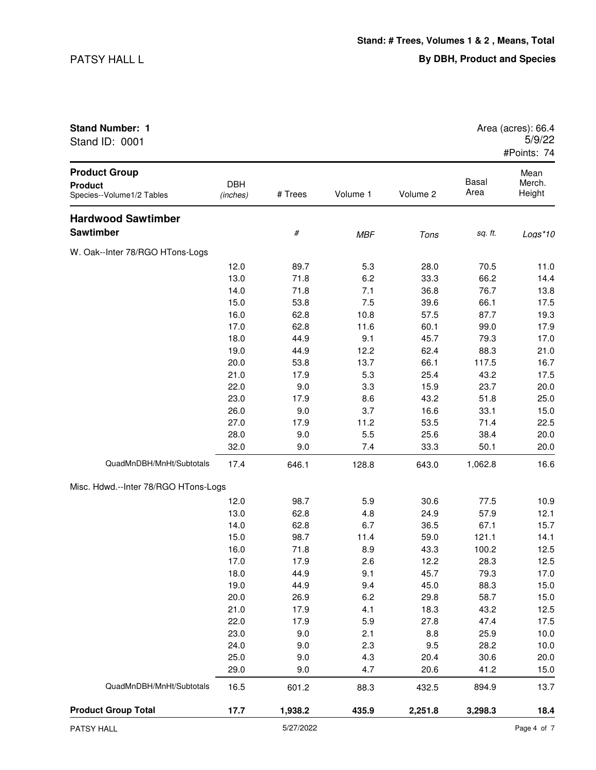| Stand ID: 0001                                                      |                        |         |            |          |               | 5/9/22<br>#Points: 74    |
|---------------------------------------------------------------------|------------------------|---------|------------|----------|---------------|--------------------------|
| <b>Product Group</b><br><b>Product</b><br>Species--Volume1/2 Tables | <b>DBH</b><br>(inches) | # Trees | Volume 1   | Volume 2 | Basal<br>Area | Mean<br>Merch.<br>Height |
| <b>Hardwood Sawtimber</b>                                           |                        |         |            |          |               |                          |
| Sawtimber                                                           |                        | $\#$    | <b>MBF</b> | Tons     | sq. ft.       | Logs*10                  |
| W. Oak--Inter 78/RGO HTons-Logs                                     |                        |         |            |          |               |                          |
|                                                                     | 12.0                   | 89.7    | 5.3        | 28.0     | 70.5          | 11.0                     |
|                                                                     | 13.0                   | 71.8    | 6.2        | 33.3     | 66.2          | 14.4                     |
|                                                                     | 14.0                   | 71.8    | 7.1        | 36.8     | 76.7          | 13.8                     |
|                                                                     | 15.0                   | 53.8    | 7.5        | 39.6     | 66.1          | 17.5                     |
|                                                                     | 16.0                   | 62.8    | 10.8       | 57.5     | 87.7          | 19.3                     |
|                                                                     | 17.0                   | 62.8    | 11.6       | 60.1     | 99.0          | 17.9                     |
|                                                                     | 18.0                   | 44.9    | 9.1        | 45.7     | 79.3          | 17.0                     |
|                                                                     | 19.0                   | 44.9    | 12.2       | 62.4     | 88.3          | 21.0                     |
|                                                                     | 20.0                   | 53.8    | 13.7       | 66.1     | 117.5         | 16.7                     |
|                                                                     | 21.0                   | 17.9    | 5.3        | 25.4     | 43.2          | 17.5                     |
|                                                                     | 22.0                   | 9.0     | 3.3        | 15.9     | 23.7          | 20.0                     |
|                                                                     | 23.0                   | 17.9    | 8.6        | 43.2     | 51.8          | 25.0                     |
|                                                                     | 26.0                   | 9.0     | 3.7        | 16.6     | 33.1          | 15.0                     |
|                                                                     | 27.0                   | 17.9    | 11.2       | 53.5     | 71.4          | 22.5                     |
|                                                                     | 28.0                   | 9.0     | 5.5        | 25.6     | 38.4          | 20.0                     |
|                                                                     | 32.0                   | 9.0     | 7.4        | 33.3     | 50.1          | 20.0                     |
| QuadMnDBH/MnHt/Subtotals                                            | 17.4                   | 646.1   | 128.8      | 643.0    | 1,062.8       | 16.6                     |
| Misc. Hdwd.--Inter 78/RGO HTons-Logs                                |                        |         |            |          |               |                          |
|                                                                     | 12.0                   | 98.7    | 5.9        | 30.6     | 77.5          | 10.9                     |
|                                                                     | 13.0                   | 62.8    | 4.8        | 24.9     | 57.9          | 12.1                     |
|                                                                     | 14.0                   | 62.8    | 6.7        | 36.5     | 67.1          | 15.7                     |
|                                                                     | 15.0                   | 98.7    | 11.4       | 59.0     | 121.1         | 14.1                     |
|                                                                     | 16.0                   | 71.8    | 8.9        | 43.3     | 100.2         | 12.5                     |
|                                                                     | 17.0                   | 17.9    | 2.6        | 12.2     | 28.3          | 12.5                     |
|                                                                     | 18.0                   | 44.9    | 9.1        | 45.7     | 79.3          | 17.0                     |
|                                                                     | 19.0                   | 44.9    | 9.4        | 45.0     | 88.3          | 15.0                     |
|                                                                     | 20.0                   | 26.9    | 6.2        | 29.8     | 58.7          | 15.0                     |
|                                                                     | 21.0                   | 17.9    | 4.1        | 18.3     | 43.2          | 12.5                     |
|                                                                     | 22.0                   | 17.9    | 5.9        | 27.8     | 47.4          | 17.5                     |
|                                                                     | 23.0                   | 9.0     | 2.1        | 8.8      | 25.9          | 10.0                     |
|                                                                     | 24.0                   | 9.0     | 2.3        | 9.5      | 28.2          | 10.0                     |
|                                                                     | 25.0                   | 9.0     | 4.3        | 20.4     | 30.6          | 20.0                     |
|                                                                     | 29.0                   | 9.0     | 4.7        | 20.6     | 41.2          | 15.0                     |
| QuadMnDBH/MnHt/Subtotals                                            | 16.5                   | 601.2   | 88.3       | 432.5    | 894.9         | 13.7                     |

**Product Group Total 17.7 1,938.2 435.9 2,251.8 3,298.3 18.4**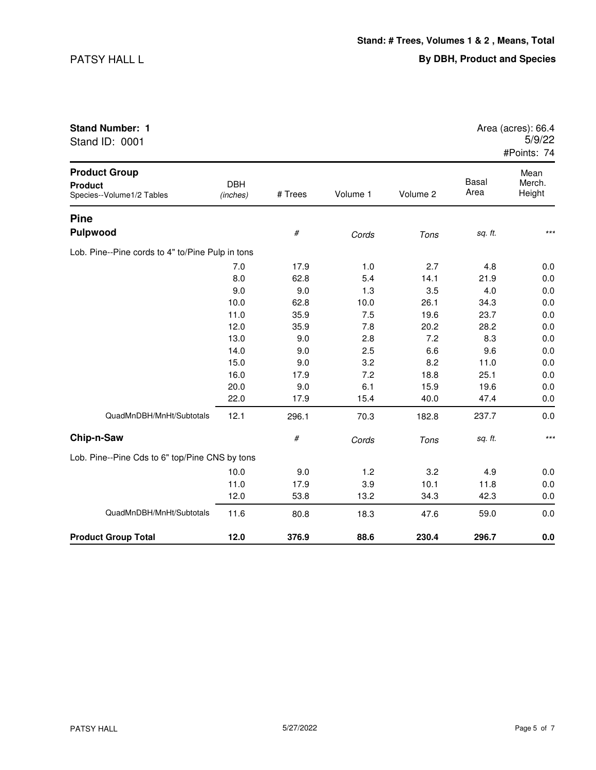| Stand ID: 0001                                                      |                        |         |          |          |               | 5/9/22<br>#Points: 74    |
|---------------------------------------------------------------------|------------------------|---------|----------|----------|---------------|--------------------------|
| <b>Product Group</b><br><b>Product</b><br>Species--Volume1/2 Tables | <b>DBH</b><br>(inches) | # Trees | Volume 1 | Volume 2 | Basal<br>Area | Mean<br>Merch.<br>Height |
| <b>Pine</b>                                                         |                        |         |          |          |               |                          |
| Pulpwood                                                            |                        | $\#$    | Cords    | Tons     | sq. ft.       | $***$                    |
| Lob. Pine--Pine cords to 4" to/Pine Pulp in tons                    |                        |         |          |          |               |                          |
|                                                                     | 7.0                    | 17.9    | 1.0      | 2.7      | 4.8           | 0.0                      |
|                                                                     | 8.0                    | 62.8    | 5.4      | 14.1     | 21.9          | 0.0                      |
|                                                                     | 9.0                    | 9.0     | 1.3      | 3.5      | 4.0           | 0.0                      |
|                                                                     | 10.0                   | 62.8    | 10.0     | 26.1     | 34.3          | 0.0                      |
|                                                                     | 11.0                   | 35.9    | 7.5      | 19.6     | 23.7          | 0.0                      |
|                                                                     | 12.0                   | 35.9    | 7.8      | 20.2     | 28.2          | 0.0                      |
|                                                                     | 13.0                   | 9.0     | 2.8      | 7.2      | 8.3           | 0.0                      |
|                                                                     | 14.0                   | 9.0     | 2.5      | 6.6      | 9.6           | 0.0                      |
|                                                                     | 15.0                   | 9.0     | 3.2      | 8.2      | 11.0          | 0.0                      |
|                                                                     | 16.0                   | 17.9    | 7.2      | 18.8     | 25.1          | 0.0                      |
|                                                                     | 20.0                   | 9.0     | 6.1      | 15.9     | 19.6          | 0.0                      |
|                                                                     | 22.0                   | 17.9    | 15.4     | 40.0     | 47.4          | 0.0                      |
| QuadMnDBH/MnHt/Subtotals                                            | 12.1                   | 296.1   | 70.3     | 182.8    | 237.7         | 0.0                      |
| Chip-n-Saw                                                          |                        | $\#$    | Cords    | Tons     | sq. ft.       | $***$                    |
| Lob. Pine--Pine Cds to 6" top/Pine CNS by tons                      |                        |         |          |          |               |                          |
|                                                                     | 10.0                   | 9.0     | 1.2      | 3.2      | 4.9           | 0.0                      |
|                                                                     | 11.0                   | 17.9    | 3.9      | 10.1     | 11.8          | 0.0                      |
|                                                                     | 12.0                   | 53.8    | 13.2     | 34.3     | 42.3          | 0.0                      |
| QuadMnDBH/MnHt/Subtotals                                            | 11.6                   | 80.8    | 18.3     | 47.6     | 59.0          | 0.0                      |
| <b>Product Group Total</b>                                          | 12.0                   | 376.9   | 88.6     | 230.4    | 296.7         | 0.0                      |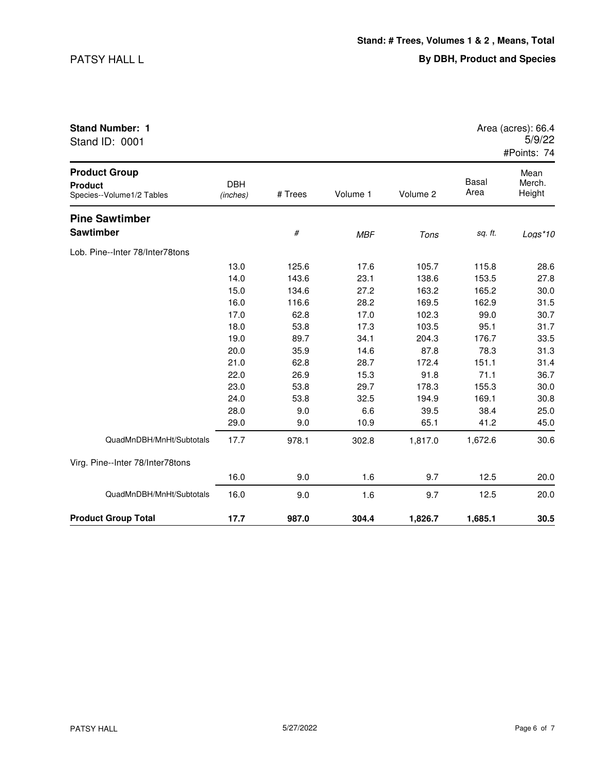| <b>Product Group</b>   | Mean               |
|------------------------|--------------------|
|                        | #Points: 74        |
| Stand ID: 0001         | 5/9/22             |
| <b>Stand Number: 1</b> | Area (acres): 66.4 |
|                        |                    |

| <b>Product Group</b><br><b>Product</b><br>Species--Volume1/2 Tables | <b>DBH</b><br>(inches) | # Trees | Volume 1   | Volume 2 | <b>Basal</b><br>Area | Mean<br>Merch.<br>Height |
|---------------------------------------------------------------------|------------------------|---------|------------|----------|----------------------|--------------------------|
| <b>Pine Sawtimber</b>                                               |                        |         |            |          |                      |                          |
| <b>Sawtimber</b>                                                    |                        | $\#$    | <b>MBF</b> | Tons     | sq. ft.              | $Logs*10$                |
| Lob. Pine--Inter 78/Inter78tons                                     |                        |         |            |          |                      |                          |
|                                                                     | 13.0                   | 125.6   | 17.6       | 105.7    | 115.8                | 28.6                     |
|                                                                     | 14.0                   | 143.6   | 23.1       | 138.6    | 153.5                | 27.8                     |
|                                                                     | 15.0                   | 134.6   | 27.2       | 163.2    | 165.2                | 30.0                     |
|                                                                     | 16.0                   | 116.6   | 28.2       | 169.5    | 162.9                | 31.5                     |
|                                                                     | 17.0                   | 62.8    | 17.0       | 102.3    | 99.0                 | 30.7                     |
|                                                                     | 18.0                   | 53.8    | 17.3       | 103.5    | 95.1                 | 31.7                     |
|                                                                     | 19.0                   | 89.7    | 34.1       | 204.3    | 176.7                | 33.5                     |
|                                                                     | 20.0                   | 35.9    | 14.6       | 87.8     | 78.3                 | 31.3                     |
|                                                                     | 21.0                   | 62.8    | 28.7       | 172.4    | 151.1                | 31.4                     |
|                                                                     | 22.0                   | 26.9    | 15.3       | 91.8     | 71.1                 | 36.7                     |
|                                                                     | 23.0                   | 53.8    | 29.7       | 178.3    | 155.3                | 30.0                     |
|                                                                     | 24.0                   | 53.8    | 32.5       | 194.9    | 169.1                | 30.8                     |
|                                                                     | 28.0                   | 9.0     | 6.6        | 39.5     | 38.4                 | 25.0                     |
|                                                                     | 29.0                   | 9.0     | 10.9       | 65.1     | 41.2                 | 45.0                     |
| QuadMnDBH/MnHt/Subtotals                                            | 17.7                   | 978.1   | 302.8      | 1,817.0  | 1,672.6              | 30.6                     |
| Virg. Pine--Inter 78/Inter78tons                                    |                        |         |            |          |                      |                          |
|                                                                     | 16.0                   | 9.0     | 1.6        | 9.7      | 12.5                 | 20.0                     |
| QuadMnDBH/MnHt/Subtotals                                            | 16.0                   | 9.0     | 1.6        | 9.7      | 12.5                 | 20.0                     |
| <b>Product Group Total</b>                                          | 17.7                   | 987.0   | 304.4      | 1,826.7  | 1,685.1              | 30.5                     |